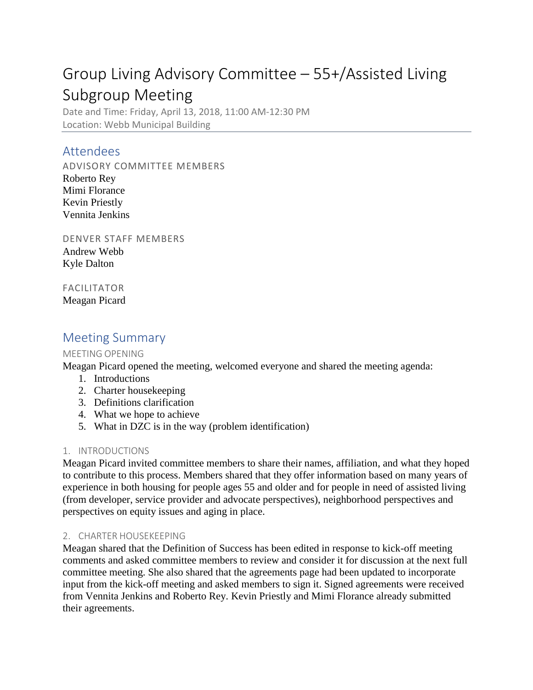# Group Living Advisory Committee – 55+/Assisted Living Subgroup Meeting

Date and Time: Friday, April 13, 2018, 11:00 AM-12:30 PM Location: Webb Municipal Building

### Attendees

ADVISORY COMMITTEE MEMBERS

Roberto Rey Mimi Florance Kevin Priestly Vennita Jenkins

DENVER STAFF MEMBERS Andrew Webb Kyle Dalton

FACILITATOR Meagan Picard

## Meeting Summary

#### MEETING OPENING

Meagan Picard opened the meeting, welcomed everyone and shared the meeting agenda:

- 1. Introductions
- 2. Charter housekeeping
- 3. Definitions clarification
- 4. What we hope to achieve
- 5. What in DZC is in the way (problem identification)

#### 1. INTRODUCTIONS

Meagan Picard invited committee members to share their names, affiliation, and what they hoped to contribute to this process. Members shared that they offer information based on many years of experience in both housing for people ages 55 and older and for people in need of assisted living (from developer, service provider and advocate perspectives), neighborhood perspectives and perspectives on equity issues and aging in place.

#### 2. CHARTER HOUSEKEEPING

Meagan shared that the Definition of Success has been edited in response to kick-off meeting comments and asked committee members to review and consider it for discussion at the next full committee meeting. She also shared that the agreements page had been updated to incorporate input from the kick-off meeting and asked members to sign it. Signed agreements were received from Vennita Jenkins and Roberto Rey. Kevin Priestly and Mimi Florance already submitted their agreements.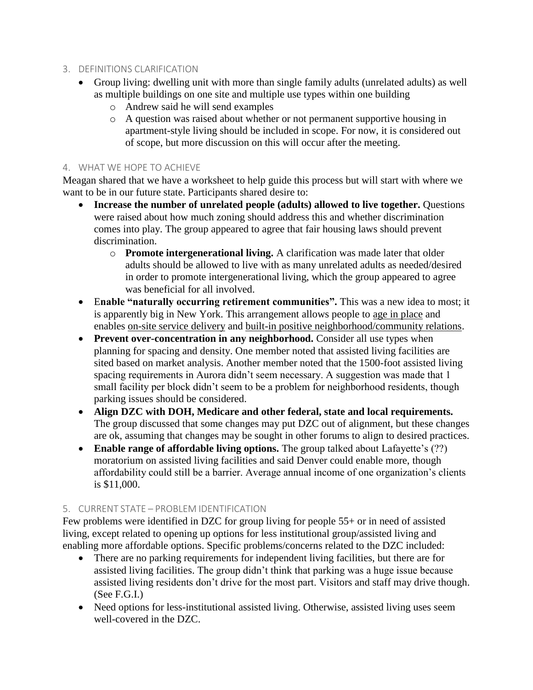- 3. DEFINITIONS CLARIFICATION
	- Group living: dwelling unit with more than single family adults (unrelated adults) as well as multiple buildings on one site and multiple use types within one building
		- o Andrew said he will send examples
		- o A question was raised about whether or not permanent supportive housing in apartment-style living should be included in scope. For now, it is considered out of scope, but more discussion on this will occur after the meeting.

#### 4. WHAT WE HOPE TO ACHIEVE

Meagan shared that we have a worksheet to help guide this process but will start with where we want to be in our future state. Participants shared desire to:

- Increase the number of unrelated people (adults) allowed to live together. Questions were raised about how much zoning should address this and whether discrimination comes into play. The group appeared to agree that fair housing laws should prevent discrimination.
	- o **Promote intergenerational living.** A clarification was made later that older adults should be allowed to live with as many unrelated adults as needed/desired in order to promote intergenerational living, which the group appeared to agree was beneficial for all involved.
- E**nable "naturally occurring retirement communities".** This was a new idea to most; it is apparently big in New York. This arrangement allows people to age in place and enables on-site service delivery and built-in positive neighborhood/community relations.
- **Prevent over-concentration in any neighborhood.** Consider all use types when planning for spacing and density. One member noted that assisted living facilities are sited based on market analysis. Another member noted that the 1500-foot assisted living spacing requirements in Aurora didn't seem necessary. A suggestion was made that 1 small facility per block didn't seem to be a problem for neighborhood residents, though parking issues should be considered.
- **Align DZC with DOH, Medicare and other federal, state and local requirements.**  The group discussed that some changes may put DZC out of alignment, but these changes are ok, assuming that changes may be sought in other forums to align to desired practices.
- **Enable range of affordable living options.** The group talked about Lafayette's (??) moratorium on assisted living facilities and said Denver could enable more, though affordability could still be a barrier. Average annual income of one organization's clients is \$11,000.

#### 5. CURRENT STATE – PROBLEM IDENTIFICATION

Few problems were identified in DZC for group living for people 55+ or in need of assisted living, except related to opening up options for less institutional group/assisted living and enabling more affordable options. Specific problems/concerns related to the DZC included:

- There are no parking requirements for independent living facilities, but there are for assisted living facilities. The group didn't think that parking was a huge issue because assisted living residents don't drive for the most part. Visitors and staff may drive though. (See F.G.I.)
- Need options for less-institutional assisted living. Otherwise, assisted living uses seem well-covered in the DZC.